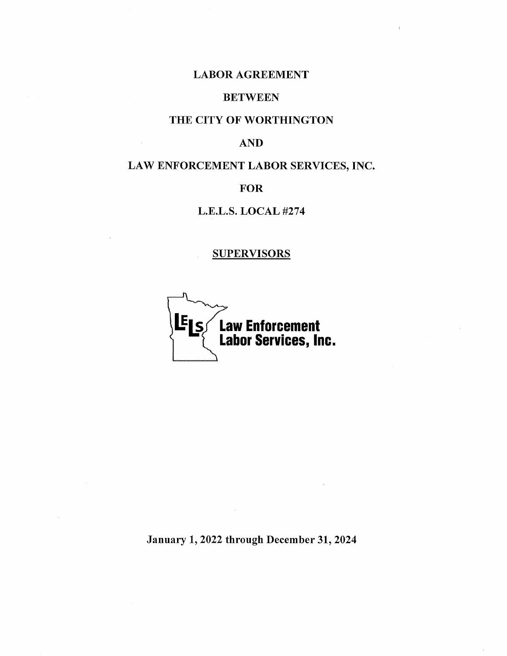# LABOR AGREEMENT

# **BETWEEN**

# THE CITY OF WORTHINGTON

# AND

# LAW ENFORCEMENT LABOR SERVICES, INC.

# FOR

# L.E.L.S. LOCAL #274

# **SUPERVISORS**



January 1, 2022 through December 31, 2024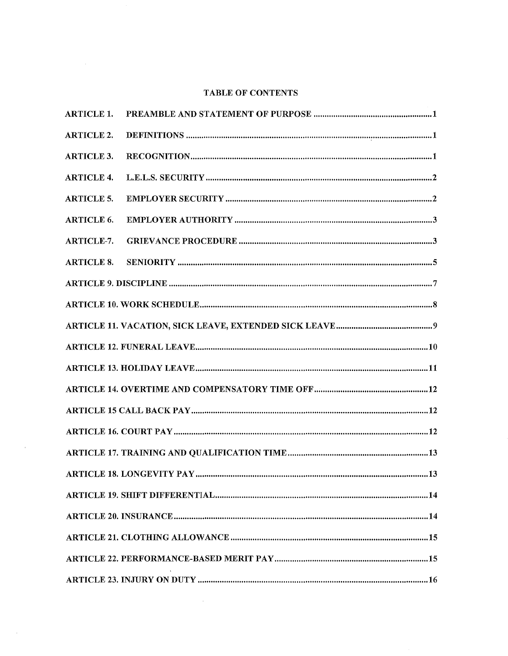# **TABLE OF CONTENTS**

| <b>ARTICLE 1.</b> |  |
|-------------------|--|
| <b>ARTICLE 2.</b> |  |
| <b>ARTICLE 3.</b> |  |
| <b>ARTICLE 4.</b> |  |
| <b>ARTICLE 5.</b> |  |
| <b>ARTICLE 6.</b> |  |
| ARTICLE-7.        |  |
| <b>ARTICLE 8.</b> |  |
|                   |  |
|                   |  |
|                   |  |
|                   |  |
|                   |  |
|                   |  |
|                   |  |
|                   |  |
|                   |  |
|                   |  |
|                   |  |
|                   |  |
|                   |  |
|                   |  |
|                   |  |

 $\mathcal{L}^{\text{max}}_{\text{max}}$ 

 $\mathcal{L}^{\text{max}}_{\text{max}}$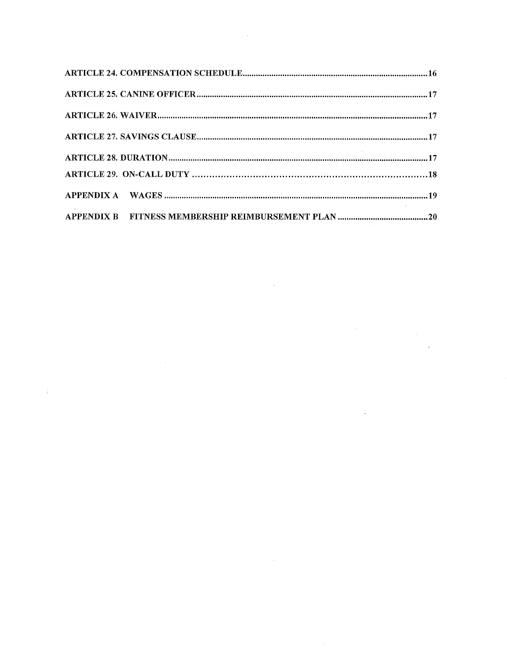$\mathcal{A}^{\text{max}}_{\text{max}}$ 

 $\label{eq:2.1} \frac{1}{\sqrt{2\pi}}\sum_{i=1}^n\frac{1}{\sqrt{2\pi}}\sum_{i=1}^n\frac{1}{\sqrt{2\pi}}\sum_{i=1}^n\frac{1}{\sqrt{2\pi}}\sum_{i=1}^n\frac{1}{\sqrt{2\pi}}\sum_{i=1}^n\frac{1}{\sqrt{2\pi}}\sum_{i=1}^n\frac{1}{\sqrt{2\pi}}\sum_{i=1}^n\frac{1}{\sqrt{2\pi}}\sum_{i=1}^n\frac{1}{\sqrt{2\pi}}\sum_{i=1}^n\frac{1}{\sqrt{2\pi}}\sum_{i=1}^n\$ 

 $\frac{1}{2} \left( \frac{1}{2} \right)$  ,  $\frac{1}{2} \left( \frac{1}{2} \right)$ 

 $\label{eq:2.1} \frac{1}{\sqrt{2\pi}}\int_{0}^{\infty}\frac{1}{\sqrt{2\pi}}\left(\frac{1}{\sqrt{2\pi}}\right)^{2\alpha} \frac{1}{\sqrt{2\pi}}\int_{0}^{\infty}\frac{1}{\sqrt{2\pi}}\left(\frac{1}{\sqrt{2\pi}}\right)^{\alpha} \frac{1}{\sqrt{2\pi}}\frac{1}{\sqrt{2\pi}}\int_{0}^{\infty}\frac{1}{\sqrt{2\pi}}\frac{1}{\sqrt{2\pi}}\frac{1}{\sqrt{2\pi}}\frac{1}{\sqrt{2\pi}}\frac{1}{\sqrt{2\pi}}\frac{1}{\sqrt{2\$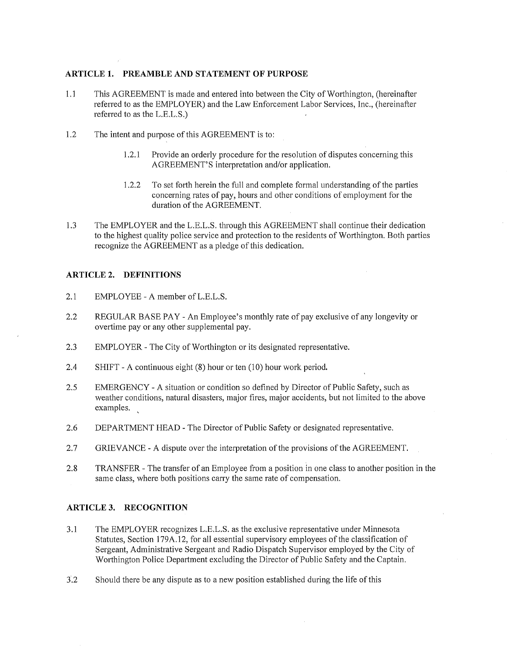### **ARTICLE 1. PREAMBLE AND STATEMENT OF PURPOSE**

- 1.1 This AGREEMENT is made and entered into between the City of Worthington, (hereinafter referred to as the EMPLOYER) and the Law Enforcement Labor Services, Inc., (hereinafter referred to as the L.E.L.S.)
- 1.2 The intent and purpose of this AGREEMENT is to:
	- 1.2.1 Provide an orderly procedure for the resolution of disputes concerning this AGREEMENT'S interpretation and/or application.
	- 1.2.2 To set forth herein the full and complete formal understanding of the parties concerning rates of pay, hours and other conditions of employment for the duration of the AGREEMENT.
- 1.3 The EMPLOYER and the L.E.L.S. through this AGREEMENT shall continue their dedication to the highest quality police service and protection to the residents of Worthington. Both parties recognize the AGREEMENT as a pledge of this dedication.

## **ARTICLE 2. DEFINITIONS**

- 2.1 EMPLOYEE A member of L.E.L.S.
- 2.2 REGULAR BASE PAY An Employee's monthly rate of pay exclusive of any longevity or overtime pay or any other supplemental pay.
- 2.3 EMPLOYER The City of Worthington or its designated representative.
- 2.4 SHIFT A continuous eight (8) hour or ten (10) hour work period.
- 2.5 EMERGENCY A situation or condition so defined by Director of Public Safety, such as weather conditions, natural disasters, major fires, major accidents, but not limited to the above examples.
- 2.6 DEPARTMENT HEAD The Director of Public Safety or designated representative.
- 2.7 GRIEVANCE A dispute over the interpretation of the provisions of the AGREEMENT.
- 2.8 TRANSFER The transfer of an Employee from a position in one class to another position in the same class, where both positions carry the same rate of compensation.

## **ARTICLE 3. RECOGNITION**

- 3.1 The EMPLOYER recognizes L.E.L.S. as the exclusive representative under Minnesota Statutes, Section 179A.12, for all essential supervisory employees of the classification of Sergeant, Administrative Sergeant and Radio Dispatch Supervisor employed by the City of Worthington Police Department excluding the Director of Public Safety and the Captain.
- 3.2 Should there be any dispute as to a new position established during the life of this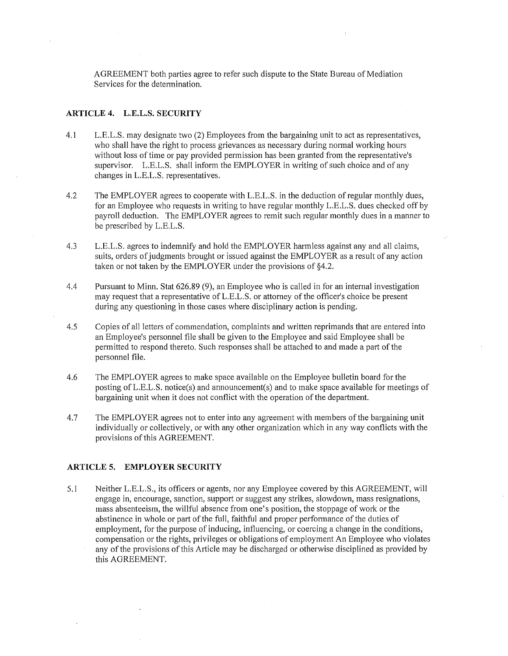AGREEMENT both parties agree to refer such dispute to the State Bureau of Mediation Services for the determination.

#### **ARTICLE 4. L.E.L.S. SECURITY**

- 4.1 L.E.L.S. may designate two (2) Employees from the bargaining unit to act as representatives, who shall have the right to process grievances as necessary during normal working hours without loss of time or pay provided permission has been granted from the representative's supervisor. L.E.L.S. shall inform the EMPLOYER in writing of such choice and of any changes in L.E.L.S. representatives.
- 4.2 The EMPLOYER agrees to cooperate with L.E.L.S. in the deduction ofregular monthly dues, for an Employee who requests in writing to have regular monthly L.E.L.S. dues checked off by payroll deduction. The EMPLOYER agrees to remit such regular monthly dues in a manner to be prescribed by L.E.L.S.
- 4.3 L.E.L.S. agrees to indemnify and hold the EMPLOYER harmless against any and all claims, suits, orders of judgments brought or issued against the EMPLOYER as a result of any action taken or not taken by the EMPLOYER under the provisions of §4.2.
- 4.4 Pursuant to Minn. Stat 626.89 (9), an Employee who is called in for an internal investigation may request that a representative ofL.E.L.S. or attorney of the officer's choice be present during any questioning in those cases where disciplinary action is pending.
- 4.5 Copies of all letters of commendation, complaints and written reprimands that are entered into an Employee's personnel file shall be given to the Employee and said Employee shall be permitted to respond thereto. Such responses shall be attached to and made a part of the personnel file.
- 4.6 The EMPLOYER agrees to make space available on the Employee bulletin board for the posting ofL.E.L.S. notice(s) and announcement(s) and to make space available for meetings of bargaining unit when it does not conflict with the operation of the department.
- 4.7 The EMPLOYER agrees not to enter into any agreement with members of the bargaining unit individually or collectively, or with any other organization which in any way conflicts with the provisions of this AGREEMENT.

#### **ARTICLE 5. EMPLOYER SECURITY**

5.1 Neither L.E.L.S., its officers or agents, nor any Employee covered by this AGREEMENT, will engage in, encourage, sanction, support or suggest any strikes, slowdown, mass resignations, mass absenteeism, the willful absence from one's position, the stoppage of work or the abstinence in whole or part of the full, faithful and proper performance of the duties of employment, for the purpose of inducing, influencing, or coercing a change in the conditions, compensation or the rights, privileges or obligations of employment An Employee who violates any of the provisions of this Article may be discharged or otherwise disciplined as provided by this AGREEMENT.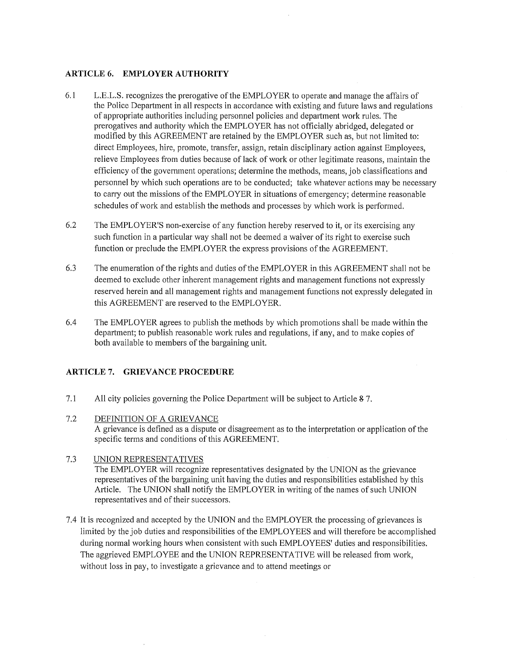## **ARTICLE 6. EMPLOYER AUTHORITY**

- 6.1 L.E.L.S. recognizes the prerogative of the EMPLOYER to operate and manage the affairs of the Police Department in all respects in accordance with existing and future laws and regulations of appropriate authorities including personnel policies and department work rules. The prerogatives and authority which the EMPLOYER has not officially abridged, delegated or modified by this AGREEMENT are retained by the EMPLOYER such as, but not limited to: direct Employees, hire, promote, transfer, assign, retain disciplinary action against Employees, relieve Employees from duties because of lack of work or other legitimate reasons, maintain the efficiency of the government operations; determine the methods, means, job classifications and personnel by which such operations are to be conducted; take whatever actions may be necessary to carry out the missions of the EMPLOYER in situations of emergency; determine reasonable schedules of work and establish the methods and processes by which work is performed.
- 6.2 The EMPLOYER'S non-exercise of any function hereby reserved to it, or its exercising any such function in a particular way shall not be deemed a waiver of its right to exercise such function or preclude the EMPLOYER the express provisions of the AGREEMENT.
- 6.3 The enumeration of the rights and duties of the EMPLOYER in this AGREEMENT shall not be deemed to exclude other inherent management rights and management functions not expressly reserved herein and all management rights and management functions not expressly delegated in this AGREEMENT are reserved to the EMPLOYER.
- 6.4 The EMPLOYER agrees to publish the methods by which promotions shall be made within the department; to publish reasonable work rules and regulations, if any, and to make copies of both available to members of the bargaining unit.

#### **ARTICLE 7. GRIEVANCE PROCEDURE**

- 7.1 All city policies governing the Police Department will be subject to Article 87.
- 7.2 DEFINITION OF A GRIEVANCE A grievance is defined as a dispute or disagreement as to the interpretation or application of the specific terms and conditions of this AGREEMENT.
- 7.3 UNION REPRESENTATIVES The EMPLOYER will recognize representatives designated by the UNION as the grievance representatives of the bargaining unit having the duties and responsibilities established by this Article. The UNION shall notify the EMPLOYER in writing of the names of such UNION representatives and of their successors.
- 7.4 It is recognized and accepted by the UNION and the EMPLOYER the processing of grievances is limited by the job duties and responsibilities of the EMPLOYEES and will therefore be accomplished during normal working hours when consistent with such EMPLOYEES' duties and responsibilities. The aggrieved EMPLOYEE and the UNION REPRESENTATIVE will be released from work, without loss in pay, to investigate a grievance and to attend meetings or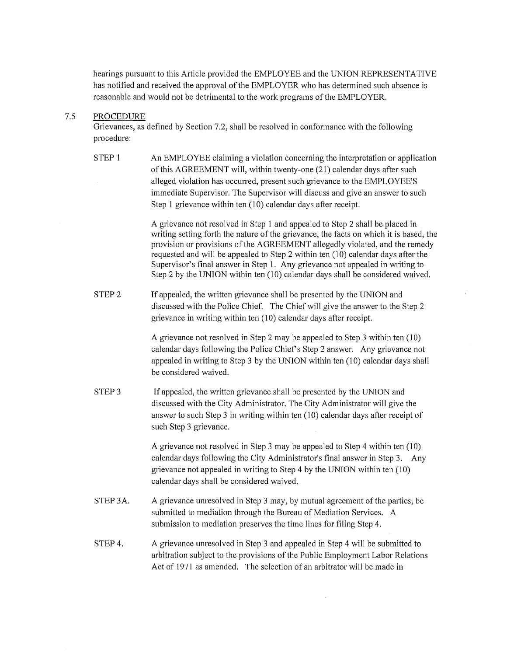hearings pursuant to this Article provided the EMPLOYEE and the UNION REPRESENTATIVE has notified and received the approval of the EMPLOYER who has determined such absence is reasonable and would not be detrimental to the work programs of the EMPLOYER.

#### 7.5 PROCEDURE

Grievances, as defined by Section 7.2, shall be resolved in conformance with the following procedure:

STEP 1 An EMPLOYEE claiming a violation concerning the interpretation or application of this AGREEMENT will, within twenty-one (21) calendar days after such alleged violation has occurred, present such grievance to the EMPLOYEE'S immediate Supervisor. The Supervisor will discuss and give an answer to such Step 1 grievance within ten (10) calendar days after receipt.

> A grievance not resolved in Step 1 and appealed to Step 2 shall be placed in writing setting forth the nature of the grievance, the facts on which it is based, the provision or provisions of the AGREEMENT allegedly violated, and the remedy requested and will be appealed to Step 2 within ten (10) calendar days after the Supervisor's final answer in Step 1. Any grievance not appealed in writing to Step 2 by the UNION within ten (10) calendar days shall be considered waived.

STEP<sub>2</sub> If appealed, the written grievance shall be presented by the UNION and discussed with the Police Chief. The Chief will give the answer to the Step 2 grievance in writing within ten (10) calendar days after receipt.

> A grievance not resolved in Step 2 may be appealed to Step 3 within ten ( 10) calendar days following the Police Chief's Step 2 answer. Any grievance not appealed in writing to Step 3 by the UNION within ten (10) calendar days shall be considered waived.

STEP<sub>3</sub> If appealed, the written grievance shall be presented by the UNION and discussed with the City Administrator. The City Administrator will give the answer to such Step 3 in writing within ten (10) calendar days after receipt of such Step 3 grievance.

> A grievance not resolved in Step 3 may be appealed to Step 4 within ten (10) calendar days following the City Administrator's final answer in Step 3. Any grievance not appealed in writing to Step 4 by the UNION within ten (10) calendar days shall be considered waived.

- STEP 3A. A grievance unresolved in Step 3 may, by mutual agreement of the parties, be submitted to mediation through the Bureau of Mediation Services. A submission to mediation preserves the time lines for filing Step 4.
- STEP4. A grievance unresolved in Step 3 and appealed in Step 4 will be submitted to arbitration subject to the provisions of the Public Employment Labor Relations Act of 1971 as amended. The selection of an arbitrator will be made in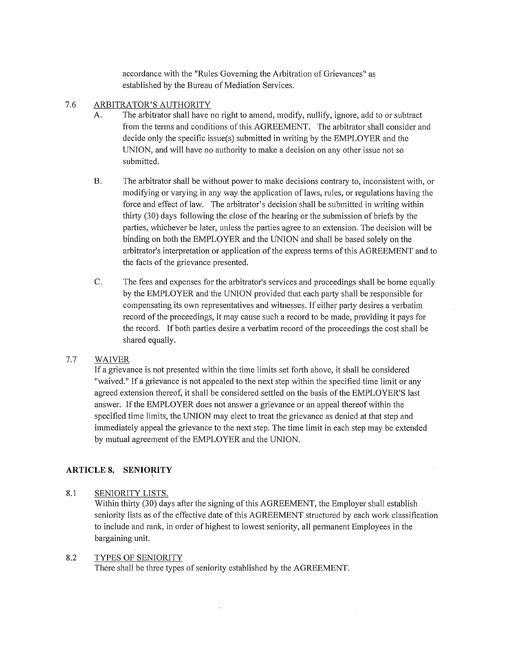accordance with the "Rules Governing the Arbitration of Grievances" as established by the Bureau of Mediation Services.

## 7.6 ARBITRATOR'S AUTHORITY

- A. The arbitrator shall have no right to amend, modify, nullify, ignore, add to or subtract from the terms and conditions of this AGREEMENT. The arbitrator shall consider and decide only the specific issue(s) submitted in writing by the EMPLOYER and the UNION, and will have no authority to make a decision on any other issue not so submitted.
- B. The arbitrator shall be without power to make decisions contrary to, inconsistent with, or modifying or varying in any way the application of laws, rules, or regulations having the force and effect of law. The arbitrator's decision shall be submitted in writing within thirty (30) days following the close of the hearing or the submission of briefs by the parties, whichever be later, unless the parties agree to an extension. The decision will be binding on both the EMPLOYER and the UNION and shall be based solely on the arbitrator's interpretation or application of the express terms of this AGREEMENT and to the facts of the grievance presented.
- C. The fees and expenses for the arbitrator's services and proceedings shall be borne equally by the EMPLOYER and the UNION provided that each party shall be responsible for compensating its own representatives and witnesses. If either party desires a verbatim record of the proceedings, it may cause such a record to be made, providing it pays for the record. If both parties desire a verbatim record of the proceedings the cost shall be shared equally.

# 7.7 WAIVER

If a grievance is not presented within the time limits set forth above, it shall be considered "waived." If a grievance is not appealed to the next step within the specified time limit or any agreed extension thereof, it shall be considered settled on the basis of the EMPLOYER'S last answer. If the EMPLOYER does not answer a grievance or an appeal thereof within the specified time limits, the UNION may elect to treat the grievance as denied at that step and immediately appeal the grievance to the next step. The time limit in each step may be extended by mutual agreement of the EMPLOYER and the UNION.

# **ARTICLE 8. SENIORITY** \

# 8.1 SENIORITY LISTS.

Within thirty (30) days after the signing of this AGREEMENT, the Employer shall establish seniority lists as of the effective date of this AGREEMENT structured by each work classification to include and rank, in order of highest to lowest seniority, all permanent Employees in the bargaining unit.

# 8.2 TYPES OF SENIORITY

There shall be three types of seniority established by the AGREEMENT.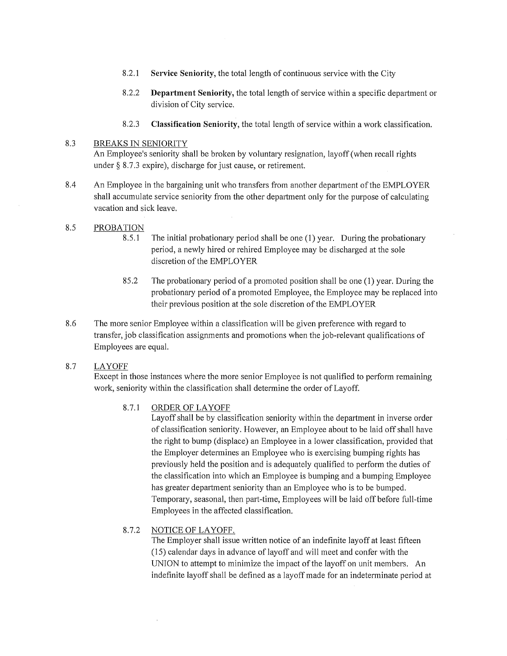- 8.2.1 **Service Seniority,** the total length of continuous service with the City
- 8.2.2 **Department Seniority,** the total length of service within a specific department or division of City service.
- 8.2.3 **Classification Seniority,** the total length of service within a work classification.

## 8.3 BREAKS IN SENIORITY

An Employee's seniority shall be broken by voluntary resignation, layoff (when recall rights under  $\S$  8.7.3 expire), discharge for just cause, or retirement.

8.4 An Employee in the bargaining unit who transfers from another department of the EMPLOYER shall accumulate service seniority from the other depmiment only for the purpose of calculating vacation and sick leave.

## 8.5 PROBATION

- 8.5.1 The initial probationary period shall be one (1) year. During the probationary period, a newly hired or rehired Employee may be discharged at the sole discretion of the EMPLOYER
- 85.2 The probationary period of a promoted position shall be one (1) year. During the probationary period of a promoted Employee, the Employee may be replaced into their previous position at the sole discretion of the EMPLOYER
- 8.6 The more senior Employee within a classification will be given preference with regard to transfer, job classification assigmnents and promotions when the job-relevant qualifications of Employees are equal.

# 8.7 LAYOFF

Except in those instances where the more senior Employee is not qualified to perform remaining work, seniority within the classification shall determine the order of Layoff.

#### 8.7.1 ORDER OF LAYOFF

Layoff shall be by classification seniority within the department in inverse order of classification seniority. However, an Employee about to be laid off shall have the right to bump (displace) an Employee in a lower classification, provided that the Employer determines an Employee who is exercising bumping rights has previously held the position and is adequately qualified to perform the duties of the classification into which an Employee is bumping and a bumping Employee has greater department seniority than an Employee who is to be bumped. Temporary, seasonal, then part-time, Employees will be laid off before full-time Employees in the affected classification.

# 8.7.2 NOTICE OF LAYOFF.

The Employer shall issue written notice of an indefinite layoff at least fifteen (15) calendar days in advance of layoff and will meet and confer with the UNION to attempt to minimize the impact of the layoff on unit members. An indefinite layoff shall be defined as a layoff made for an indeterminate period at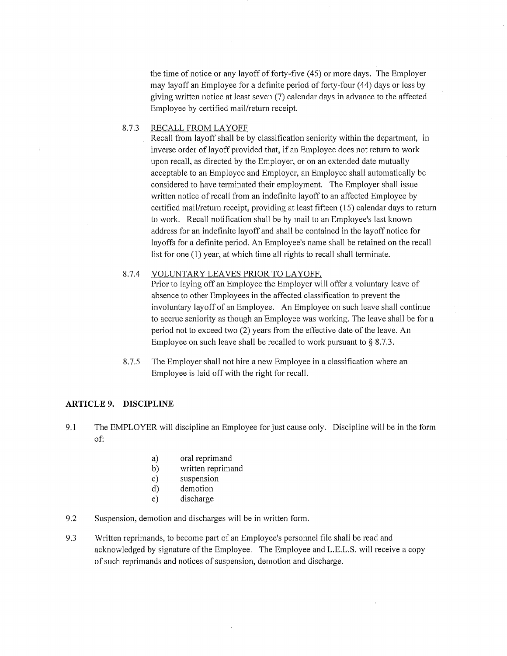the time of notice or any layoff of forty-five (45) or more days. The Employer may layoff an Employee for a definite period of forty-four ( 44) days or less by giving written notice at least seven (7) calendar days in advance to the affected Employee by certified mail/return receipt.

#### 8.7.3 RECALL FROM LAYOFF

Recall from layoff shall be by classification seniority within the department, in inverse order of layoff provided that, if an Employee does not return to work upon recall, as directed by the Employer, or on an extended date mutually acceptable to an Employee and Employer, an Employee shall automatically be considered to have terminated their employment. The Employer shall issue written notice of recall from an indefinite layoff to an affected Employee by certified mail/return receipt, providing at least fifteen (15) calendar days to return to work. Recall notification shall be by mail to an Employee's last known address for an indefinite layoff and shall be contained in the layoff notice for layoffs for a definite period. An Employee's name shall be retained on the recall list for one (1) year, at which time all rights to recall shall terminate.

### 8.7.4 VOLUNTARY LEAVES PRIOR TO LAYOFF.

Prior to laying off an Employee the Employer will offer a voluntary leave of absence to other Employees in the affected classification to prevent the involuntary layoff of an Employee. An Employee on such leave shall continue to accrue seniority as though an Employee was working. The leave shall be for a period not to exceed two (2) years from the effective date of the leave. An Employee on such leave shall be recalled to work pursuant to  $\S$  8.7.3.

8.7.5 The Employer shall not hire a new Employee in a classification where an Employee is laid off with the right for recall.

#### **ARTICLE 9. DISCIPLINE**

- 9.1 The EMPLOYER will discipline an Employee for just cause only. Discipline will be in the form of:
	- a) oral reprimand
	- b) written reprimand
	- c) suspension
	- d) demotion
	- e) discharge
- 9.2 Suspension, demotion and discharges will be in written form.
- 9.3 Written reprimands, to become part of an Employee's personnel file shall be read and acknowledged by signature of the Employee. The Employee and L.E.L.S. will receive a copy of such reprimands and notices of suspension, demotion and discharge.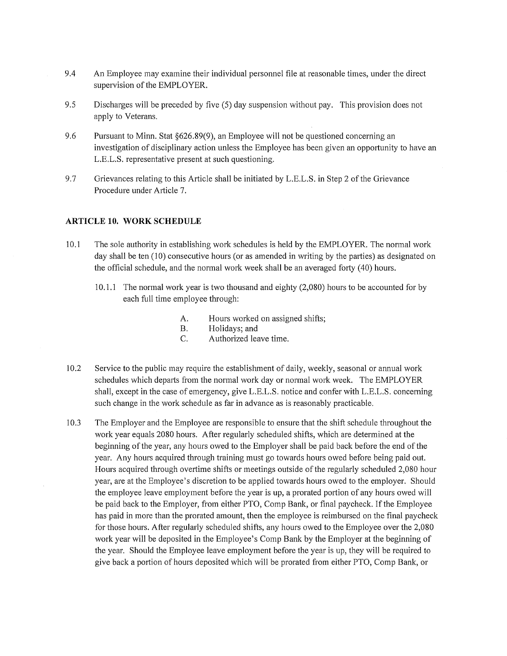- 9.4 An Employee may examine their individual personnel file at reasonable times, under the direct supervision of the EMPLOYER.
- 9.5 Discharges will be preceded by five (5) day suspension without pay. This provision does not apply to Veterans.
- 9.6 Pursuant to Minn. Stat §626.89(9), an Employee will not be questioned concerning an investigation of disciplinary action unless the Employee has been given an opportunity to have an L.E.L.S. representative present at such questioning.
- 9.7 Grievances relating to this Article shall be initiated by L.E.L.S. in Step 2 of the Grievance Procedure under Article 7.

#### **ARTICLE 10. WORK SCHEDULE**

- 10 .1 The sole authority in establishing work schedules is held by the EMPLOYER. The normal work day shall be ten (10) consecutive hours (or as amended in writing by the parties) as designated on the official schedule, and the normal work week shall be an averaged forty (40) hours.
	- 10.1.1 The normal work year is two thousand and eighty (2,080) homs to be accounted for by each full time employee through:
		- A. Hours worked on assigned shifts;
		- B. Holidays; and
		- C. Authorized leave time.
- 10 .2 Service to the public may require the establishment of daily, weekly, seasonal or annual work schedules which departs from the normal work day or normal work week. The EMPLOYER shall, except in the case of emergency, give L.E.L.S. notice and confer with L.E.L.S. concerning such change in the work schedule as far in advance as is reasonably practicable.
- 10.3 The Employer and the Employee are responsible to ensure that the shift schedule throughout the work year equals 2080 hours. After regularly scheduled shifts, which are determined at the beginning of the year, any hours owed to the Employer shall be paid back before the end of the year. Any hours acquired through training must go towards hours owed before being paid out. Hours acquired through overtime shifts or meetings outside of the regularly scheduled 2,080 hour year, are at the Employee's discretion to be applied towards hours owed to the employer. Should the employee leave employment before the year is up, a prorated portion of any hours owed will be paid back to the Employer, from either PTO, Comp Bank, or final paycheck. If the Employee has paid in more than the prorated amount, then the employee is reimbursed on the final paycheck for those hours. After regularly scheduled shifts, any hours owed to the Employee over the 2,080 work year will be deposited in the Employee's Comp Bank by the Employer at the beginning of the year. Should the Employee leave employment before the year is up, they will be required to give back a potiion of hours deposited which will be prorated from either PTO, Comp Bank, or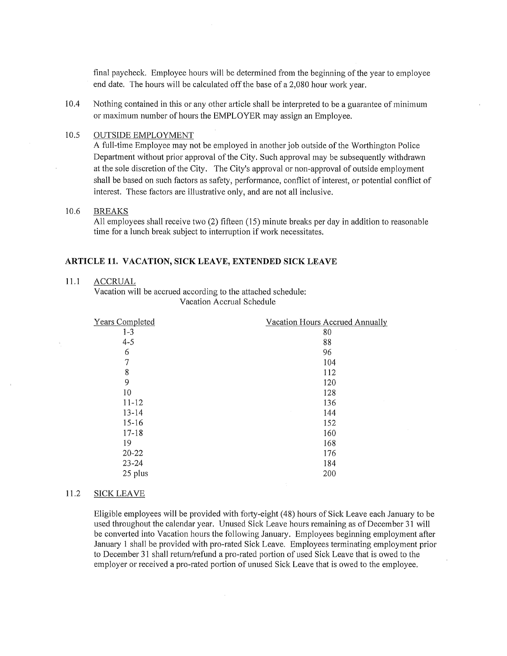final paycheck. Employee hours will be determined from the beginning of the year to employee end date. The hours will be calculated off the base of a 2,080 hour work year.

10.4 Nothing contained in this or any other article shall be interpreted to be a guarantee of minimum or maximum number of hours the EMPLOYER may assign an Employee.

#### 10.5 OUTSIDE EMPLOYMENT

A full-time Employee may not be employed in another job outside of the Worthington Police Department without prior approval of the City. Such approval may be subsequently withdrawn at the sole discretion of the City. The City's approval or non-approval of outside employment shall be based on such factors as safety, performance, conflict of interest, or potential conflict of interest. These factors are illustrative only, and are not all inclusive.

## 10.6 BREAKS

All employees shall receive two (2) fifteen (15) minute breaks per day in addition to reasonable time for a lunch break subject to interruption if work necessitates.

#### **ARTICLE 11. VACATION, SICK LEA VE, EXTENDED SICK LEAVE**

#### 11.1 ACCRUAL

Vacation will be accrued according to the attached schedule: Vacation Accrual Schedule

| <b>Years Completed</b> | Vacation Hours Accrued Annually |
|------------------------|---------------------------------|
| $1 - 3$                | 80                              |
| $4 - 5$                | 88                              |
| 6                      | 96                              |
| 7                      | 104                             |
| 8                      | 112                             |
| 9                      | 120                             |
| 10                     | 128                             |
| $11 - 12$              | 136                             |
| $13 - 14$              | 144                             |
| $15 - 16$              | 152                             |
| $17 - 18$              | 160                             |
| 19                     | 168                             |
| $20 - 22$              | 176                             |
| $23 - 24$              | 184                             |
| 25 plus                | 200                             |

#### 11.2 **SICK** LEA VE

Eligible employees will be provided with forty-eight ( 48) hours of Sick Leave each January to be used throughout the calendar year. Unused Sick Leave hours remaining as of December 31 will be converted into Vacation hours the following January. Employees beginning employment after January 1 shall be provided with pro-rated Sick Leave. Employees terminating employment prior to December 31 shall return/refund a pro-rated portion of used Sick Leave that is owed to the employer or received a pro-rated portion of unused Sick Leave that is owed to the employee.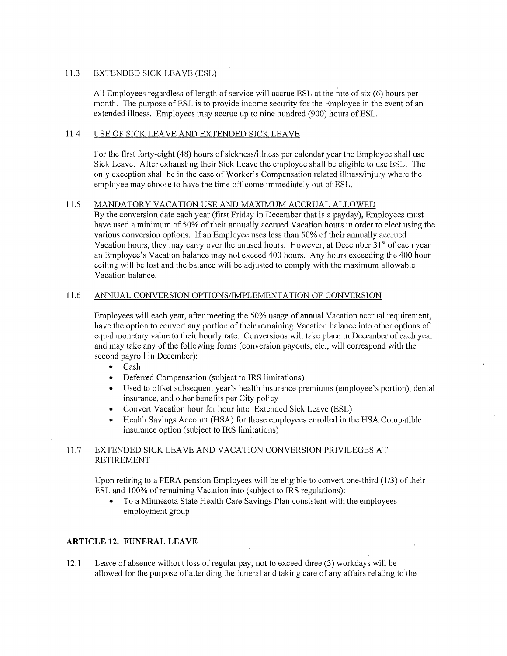### 11.3 EXTENDED SICK LEA VE (ESL)

All Employees regardless of length of service will accrue ESL at the rate of six (6) hours per month. The purpose of ESL is to provide income security for the Employee in the event of an extended illness. Employees may accrue up to nine hundred (900) hours of ESL.

### 11.4 USE OF SICK LEA VE AND EXTENDED SICK LEA VE

For the first forty-eight (48) hours of sickness/illness per calendar year the Employee shall use Sick Leave. After exhausting their Sick Leave the employee shall be eligible to use ESL. The only exception shall be in the case of Worker's Compensation related illness/injury where the employee may choose to have the time off come immediately out of ESL.

## 11.5 MANDATORY VACATION USE AND MAXIMUM ACCRUAL ALLOWED

By the conversion date each year (first Friday in December that is a payday), Employees must have used a minimum of 50% of their annually accrued Vacation hours in order to elect using the various conversion options. If an Employee uses less than 50% of their annually accrued Vacation hours, they may carry over the unused hours. However, at December  $31<sup>st</sup>$  of each year an Employee's Vacation balance may not exceed 400 hours. Any hours exceeding the 400 hour ceiling will be lost and the balance will be adjusted to comply with the maximum allowable Vacation balance.

## 11.6 ANNUAL CONVERSION OPTIONS/IMPLEMENTATION OF CONVERSION

Employees will each year, after meeting the 50% usage of annual Vacation accrual requirement, have the option to convert any portion of their remaining Vacation balance into other options of equal monetary value to their hourly rate. Conversions will take place in December of each year and may take any of the following forms (conversion payouts, etc., will correspond with the second payroll in December):

• Cash

- Deferred Compensation (subject to IRS limitations)
- Used to offset subsequent year's health insurance premiums (employee's portion), dental insurance, and other benefits per City policy
- Convert Vacation hour for hour into Extended Sick Leave (ESL)
- Health Savings Account (HSA) for those employees enrolled in the HSA Compatible insurance option (subject to IRS limitations)

# 11.7 EXTENDED SICK LEA VE AND VACATION CONVERSION PRIVILEGES AT RETIREMENT

Upon retiring to a PERA pension Employees will be eligible to convert one-third (1/3) of their ESL and 100% of remaining Vacation into (subject to IRS regulations):

• To a Minnesota State Health Care Savings Plan consistent with the employees employment group

#### **ARTICLE 12. FUNERAL LEAVE**

12.1 Leave of absence without loss of regular pay, not to exceed three (3) workdays will be allowed for the purpose of attending the funeral and taking care of any affairs relating to the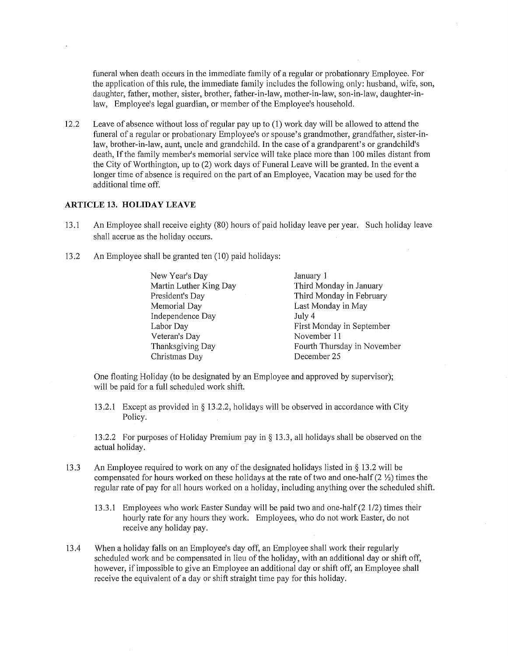funeral when death occurs in the immediate family of a regular or probationary Employee. For the application of this rule, the immediate family includes the following only: husband, wife, son, daughter, father, mother, sister, brother, father-in-law, mother-in-law, son-in-law, daughter-inlaw, Employee's legal guardian, or member of the Employee's household.

12.2 Leave of absence without loss of regular pay up to (1) work day will be allowed to attend the funeral of a regular or probationary Employee's or spouse's grandmother, grandfather, sister-inlaw, brother-in-law, aunt, uncle and grandchild. In the case of a grandparent's or grandchild's death, If the family member's memorial service will take place more than 100 miles distant from the City of Worthington, up to (2) work days of Funeral Leave will be granted. In the event a longer time of absence is required on the part of an Employee, Vacation may be used for the additional time off.

#### **ARTICLE 13. HOLIDAY LEAVE**

- 13. 1 An Employee shall receive eighty (80) hours of paid holiday leave per year. Such holiday leave shall accrue as the holiday occurs.
- 13.2 An Employee shall be granted ten (10) paid holidays:

| New Year's Day         | January 1                   |
|------------------------|-----------------------------|
| Martin Luther King Day | Third Monday in January     |
| President's Day        | Third Monday in February    |
| Memorial Day           | Last Monday in May          |
| Independence Day       | July 4                      |
| Labor Day              | First Monday in September   |
| Veteran's Day          | November 11                 |
| Thanksgiving Day       | Fourth Thursday in November |
| Christmas Day          | December 25                 |

One floating Holiday (to be designated by an Employee and approved by supervisor); will be paid for a full scheduled work shift.

13.2.l Except as provided in§ 13.2.2, holidays will be observed in accordance with City Policy.

13.2.2 For purposes of Holiday Premium pay in§ 13.3, all holidays shall be observed on the actual holiday.

- 13.3 An Employee required to work on any of the designated holidays listed in§ 13.2 will be compensated for hours worked on these holidays at the rate of two and one-half (2 ½) times the regular rate of pay for all hours worked on a holiday, including anything over the scheduled shift.
	- 13 .3. 1 Employees who work Easter Sunday will be paid two and one-half (2 1/2) times their hourly rate for any hours they work. Employees, who do not work Easter, do not receive any holiday pay.
- 13 .4 When a holiday falls on an Employee's day off, an Employee shall work their regularly scheduled work and be compensated in lieu of the holiday, with an additional day or shift off, however, if impossible to give an Employee an additional day or shift off, an Employee shall receive the equivalent of a day or shift straight time pay for this holiday.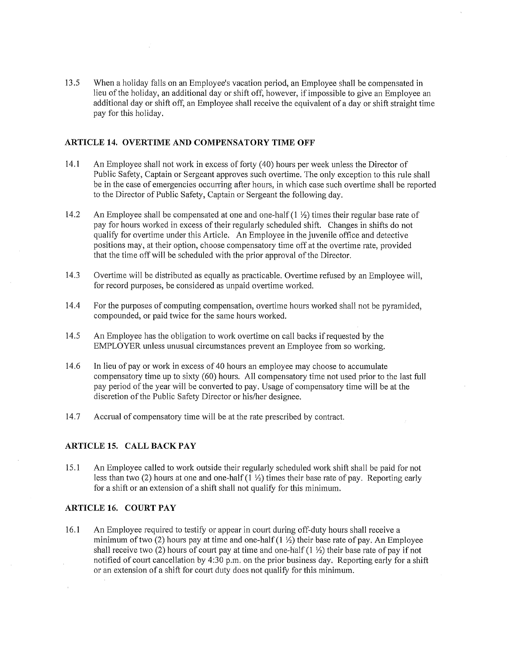13.5 When a holiday falls on an Employee's vacation period, an Employee shall be compensated in lieu of the holiday, an additional day or shift off, however, if impossible to give an Employee an additional day or shift off, an Employee shall receive the equivalent of a day or shift straight time pay for this holiday.

#### **ARTICLE 14. OVERTIME AND COMPENSATORY TIME OFF**

- 14.1 An Employee shall not work in excess of forty (40) hours per week unless the Director of Public Safety, Captain or Sergeant approves such overtime. The only exception to this rule shall be in the case of emergencies occurring after hours, in which case such overtime shall be reported to the Director of Public Safety, Captain or Sergeant the following day.
- 14.2 An Employee shall be compensated at one and one-half (1 ½) times their regular base rate of pay for hours worked in excess of their regularly scheduled shift. Changes in shifts do not qualify for overtime under this Article. An Employee in the juvenile office and detective positions may, at their option, choose compensatory time off at the overtime rate, provided that the time off will be scheduled with the prior approval of the Director.
- 14.3 Overtime will be distributed as equally as practicable. Overtime refused by an Employee will, for record purposes, be considered as unpaid overtime worked.
- 14.4 For the purposes of computing compensation, overtime hours worked shall not be pyramided, compounded, or paid twice for the same hours worked.
- 14.5 An Employee has the obligation to work overtime on call backs if requested by the EMPLOYER unless unusual circumstances prevent an Employee from so working.
- 14.6 In lieu of pay or work in excess of 40 hours an employee may choose to accumulate compensatory time up to sixty (60) hours. All compensatory time not used prior to the last full pay period of the year will be converted to pay. Usage of compensatory time will be at the discretion of the Public Safety Director or his/her designee.
- 14.7 Accrual of compensatory time will be at the rate prescribed by contract.

#### **ARTICLE 15. CALL BACK PAY**

15.1 An Employee called to work outside their regularly scheduled work shift shall be paid for not less than two (2) hours at one and one-half  $(1 \frac{1}{2})$  times their base rate of pay. Reporting early for a shift or an extension of a shift shall not qualify for this minimum.

#### **ARTICLE 16. COURT PAY**

16.1 An Employee required to testify or appear in court during off-duty hours shall receive a minimum of two (2) hours pay at time and one-half  $(1 \frac{1}{2})$  their base rate of pay. An Employee shall receive two (2) hours of court pay at time and one-half  $(1 \frac{1}{2})$  their base rate of pay if not notified of court cancellation by 4:30 p.m. on the prior business day. Reporting early for a shift or an extension of a shift for court duty does not qualify for this minimum.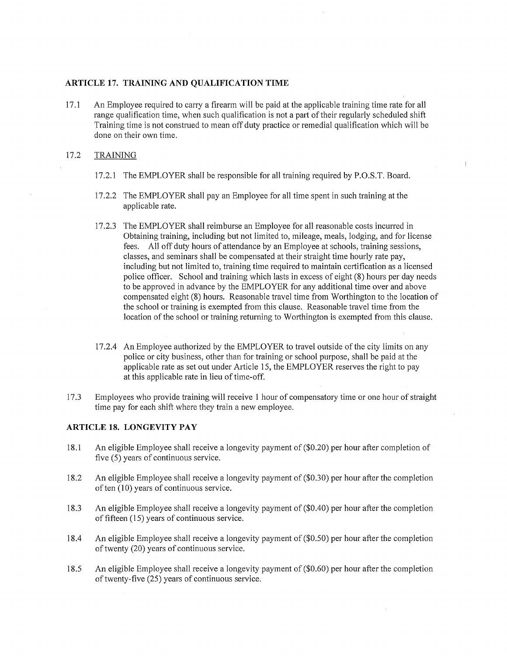#### **ARTICLE 17. TRAINING AND QUALIFICATION TIME**

17 .1 An Employee required to carry a firearm will be paid at the applicable training time rate for all range qualification time, when such qualification is not a part of their regularly scheduled shift Training time is not construed to mean off duty practice or remedial qualification which will be done on their own time.

### 17.2 TRAINING

17.2.l The EMPLOYER shall be responsible for all training required by P.O.S.T. Board.

 $\overline{1}$ 

- 17 .2.2 The EMPLOYER shall pay an Employee for all time spent in such training at the applicable rate.
- 17.2.3 The EMPLOYER shall reimburse an Employee for all reasonable costs incurred in Obtaining training, including but not limited to, mileage, meals, lodging, and for license fees. All off duty hours of attendance by an Employee at schools, training sessions, classes, and seminars shall be compensated at their straight time hourly rate pay, including but not limited to, training time required to maintain certification as a licensed police officer. School and training which lasts in excess of eight (8) hours per day needs to be approved in advance by the EMPLOYER for any additional time over and above compensated eight (8) hours. Reasonable travel time from Worthington to the location of the school or training is exempted from this clause. Reasonable travel time from the location of the school or training returning to Worthington is exempted from this clause.
- 17.2.4 An Employee authorized by the EMPLOYER to travel outside of the city limits on any police or city business, other than for training or school purpose, shall be paid at the applicable rate as set out under Article 15, the EMPLOYER reserves the right to pay at this applicable rate in lieu of time-off.
- 17.3 Employees who provide training will receive 1 hour of compensatory time or one hour of straight time pay for each shift where they train a new employee.

#### **ARTICLE 18. LONGEVITY PAY**

- 18.1 An eligible Employee shall receive a longevity payment of (\$0.20) per hour after completion of five (5) years of continuous service.
- 18.2 An eligible Employee shall receive a longevity payment of (\$0.30) per hour after the completion of ten (10) years of continuous service.
- 18.3 An eligible Employee shall receive a longevity payment of (\$0.40) per hour after the completion of fifteen ( 15) years of continuous service.
- 18.4 An eligible Employee shall receive a longevity payment of (\$0.50) per hour after the completion of twenty (20) years of continuous service.
- 18.5 An eligible Employee shall receive a longevity payment of (\$0.60) per hour after the completion of twenty-five (25) years of continuous service.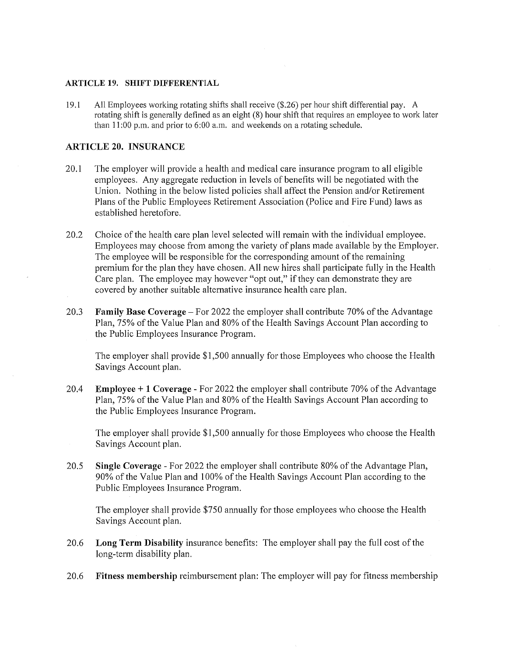### **ARTICLE 19. SHIFT DIFFERENTIAL**

19.1 All Employees working rotating shifts shall receive (\$.26) per hour shift differential pay. A rotating shift is generally defined as an eight (8) hour shift that requires an employee to work later than 11 :00 p.m. and prior to 6:00 a.m. and weekends on a rotating schedule.

## **ARTICLE 20. INSURANCE**

- 20.1 The employer will provide a health and medical care insurance program to all eligible employees. Any aggregate reduction in levels of benefits will be negotiated with the Union. Nothing in the below listed policies shall affect the Pension and/or Retirement Plans of the Public Employees Retirement Association (Police and Fire Fund) laws as established heretofore.
- 20.2 Choice of the health care plan level selected will remain with the individual employee. Employees may choose from among the variety of plans made available by the Employer. The employee will be responsible for the corresponding amount of the remaining premium for the plan they have chosen. All new hires shall participate fully in the Health Care plan. The employee may however "opt out," if they can demonstrate they are covered by another suitable alternative insurance health care plan.
- 20.3 **Family Base Coverage-** For 2022 the employer shall contribute 70% of the Advantage Plan, 75% of the Value Plan and 80% of the Health Savings Account Plan according to the Public Employees Insurance Program.

The employer shall provide \$1,500 annually for those Employees who choose the Health Savings Account plan.

20.4 **Employee+ 1 Coverage** - For 2022 the employer shall contribute 70% of the Advantage Plan, 75% of the Value Plan and 80% of the Health Savings Account Plan according to the Public Employees Insurance Program.

The employer shall provide \$1,500 annually for those Employees who choose the Health Savings Account plan.

20.5 **Single Coverage** - For 2022 the employer shall contribute 80% of the Advantage Plan, 90% of the Value Plan and I 00% of the Health Savings Account Plan according to the Public Employees Insurance Program.

The employer shall provide \$750 annually for those employees who choose the Health Savings Account plan.

- 20.6 **Long Term Disability** insurance benefits: The employer shall pay the full cost of the long-term disability plan.
- 20.6 **Fitness membership** reimbursement plan: The employer will pay for fitness membership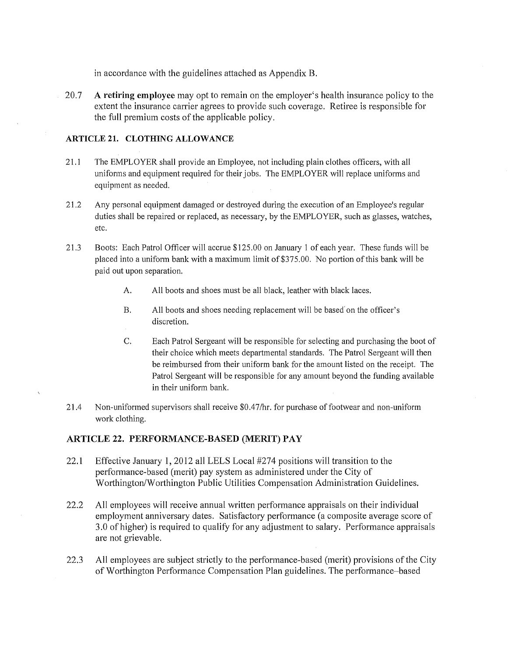in accordance with the guidelines attached as Appendix B.

20.7 **A retiring employee** may opt to remain on the employer's health insurance policy to the extent the insurance carrier agrees to provide such coverage. Retiree is responsible for the full premium costs of the applicable policy.

## **ARTICLE 21. CLOTHING ALLOWANCE**

- 21.1 The EMPLOYER shall provide an Employee, not including plain clothes officers, with all uniforms and equipment required for their jobs. The EMPLOYER will replace uniforms and equipment as needed.
- 21.2 Any personal equipment damaged or destroyed during the execution of an Employee's regular duties shall be repaired or replaced, as necessary, by the EMPLOYER, such as glasses, watches, etc.
- 21.3 Boots: Each Patrol Officer will accrue \$125.00 on January 1 of each year. These funds will be placed into a uniform bank with a maximum limit of \$375.00. No portion of this bank will be paid out upon separation.
	- A. All boots and shoes must be all black, leather with black laces.
	- B. All boots and shoes needing replacement will be based' on the officer's discretion.
	- C. Each Patrol Sergeant will be responsible for selecting and purchasing the boot of their choice which meets departmental standards. The Patrol Sergeant will then be reimbursed from their uniform bank for the amount listed on the receipt. The Patrol Sergeant will be responsible for any amount beyond the funding available in their uniform bank.
- 21.4 Non-uniformed supervisors shall receive \$0 .4 7 /hr. for purchase of footwear and non-uniform work clothing.

# **ARTICLE 22. PERFORMANCE-BASED (MERIT) PAY**

- 22.1 Effective January **1,** 2012 all LELS Local #274 positions will transition to the performance-based (merit) pay system as administered under the City of Worthington/Worthington Public Utilities Compensation Administration Guidelines.
- 22.2 All employees will receive annual written performance appraisals on their individual employment anniversary dates. Satisfactory performance (a composite average score of 3.0 of higher) is required to qualify for any adjustment to salary. Performance appraisals are not grievable.
- 22.3 All employees are subject strictly to the performance-based (merit) provisions of the City of Worthington Performance Compensation Plan guidelines. The performance-based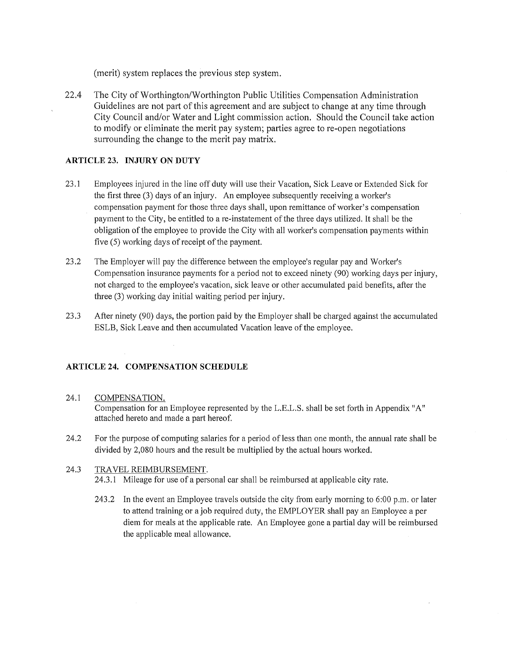(merit) system replaces the previous step system.

22.4 The City of Worthington/Worthington Public Utilities Compensation Administration Guidelines are not part of this agreement and are subject to change at any time through City Council and/or Water and Light commission action. Should the Council take action to modify or eliminate the merit pay system; parties agree to re-open negotiations surrounding the change to the merit pay matrix.

## **ARTICLE 23. INJURY ON DUTY**

- 23.1 Employees injured in the line off duty will use their Vacation, Sick Leave or Extended Sick for the first three (3) days of an injury. An employee subsequently receiving a worker's compensation payment for those three days shall, upon remittance of worker's compensation payment to the City, be entitled to a re-instatement of the three days utilized. It shall be the obligation of the employee to provide the City with all worker's compensation payments within five (5) working days of receipt of the payment.
- 23.2 The Employer will pay the difference between the employee's regular pay and Worker's Compensation insurance payments for a period not to exceed ninety (90) working days per injury, not charged to the employee's vacation, sick leave or other accumulated paid benefits, after the three (3) working day initial waiting period per injury.
- 23 .3 After ninety (90) days, the portion paid by the Employer shall be charged against the accumulated ESLB, Sick Leave and then accumulated Vacation leave of the employee.

# **ARTICLE 24. COMPENSATION SCHEDULE**

## 24.1 COMPENSATION.

Compensation for an Employee represented by the L.E.L.S. shall be set forth in Appendix "A" attached hereto and made a part hereof.

24.2 For the purpose of computing salaries for a period of less than one month, the annual rate shall be divided by 2,080 hours and the result be multiplied by the actual hours worked.

#### 24.3 TRAVEL REIMBURSEMENT. 24.3.1 Mileage for use of a personal car shall be reimbursed at applicable city rate.

243.2 In the event an Employee travels outside the city from early morning to 6:00 p.m. or later to attend training or a job required duty, the EMPLOYER shall pay an Employee a per diem for meals at the applicable rate. An Employee gone a partial day will be reimbursed the applicable meal allowance.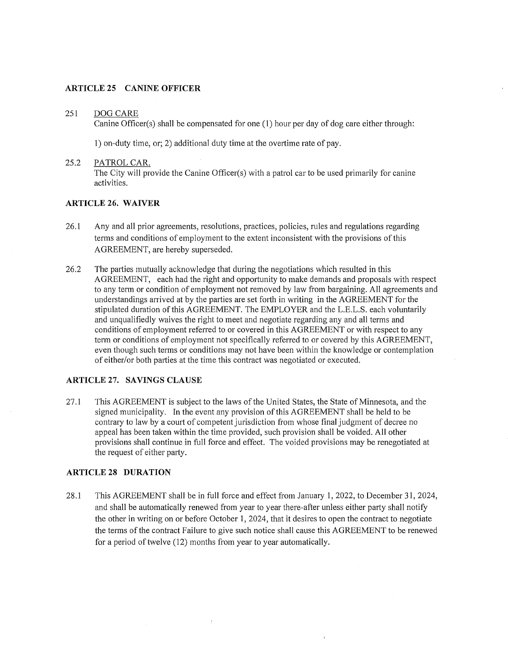#### **ARTICLE 25 CANINE OFFICER**

#### 251 DOG CARE

Canine Officer(s) shall be compensated for one (1) hour per day of dog care either through:

1) on-duty time, or; 2) additional duty time at the overtime rate of pay.

#### 25.2 PATROL CAR.

The City will provide the Canine Officer(s) with a patrol car to be used primarily for canine activities.

# **ARTICLE 26. WAIVER**

- 26.1 Any and all prior agreements, resolutions, practices, policies, rules and regulations regarding terms and conditions of employment to the extent inconsistent with the provisions of this AGREEMENT, are hereby superseded.
- 26.2 The parties mutually acknowledge that during the negotiations which resulted in this AGREEMENT, each had the right and opportunity to make demands and proposals with respect to any term or condition of employment not removed by law from bargaining. All agreements and understandings arrived at by the parties are set forth in writing in the AGREEMENT for the stipulated duration of this AGREEMENT. The EMPLOYER and the L.E.L.S. each voluntarily and unqualifiedly waives the right to meet and negotiate regarding any and all terms and conditions of employment referred to or covered in this AGREEMENT or with respect to any term or conditions of employment not specifically referred to or covered by this AGREEMENT, even though such terms or conditions may not have been within the knowledge or contemplation of either/or both parties at the time this contract was negotiated or executed.

#### **ARTICLE 27. SAVINGS CLAUSE**

27.1 This AGREEMENT is subject to the laws of the United States, the State of Minnesota, and the signed municipality. In the event any provision of this AGREEMENT shall be held to be contrary to law by a court of competent jurisdiction from whose final judgment of decree no appeal has been taken within the time provided, such provision shall be voided. All other provisions shall continue in full force and effect. The voided provisions may be renegotiated at the request of either party.

## **ARTICLE 28 DURATION**

28.l This AGREEMENT shall be in full force and effect from January 1, 2022, to December 31, 2024, and shall be automatically renewed from year to year there-after unless either party shall notify the other in writing on or before October 1, 2024, that it desires to open the contract to negotiate the terms of the contract Failure to give such notice shall cause this AGREEMENT to be renewed for a period of twelve (12) months from year to year automatically.

 $\bar{1}$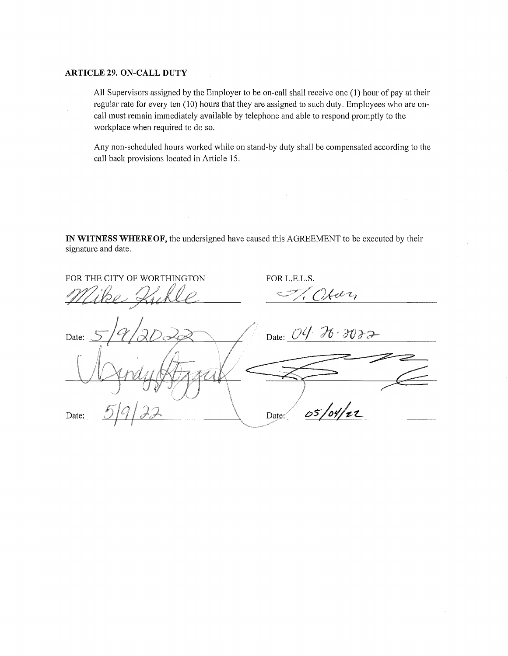#### **ARTICLE 29. ON-CALL DUTY**

All Supervisors assigned by the Employer to be on-call shall receive one (1) hour of pay at their regular rate for every ten (10) hours that they are assigned to such duty. Employees who are oncall must remain immediately available by telephone and able to respond promptly to the workplace when required to do so.

Any non-scheduled hours worked while on stand-by duty shall be compensated according to the call back provisions located in Article 15.

 $\mathcal{A}_\mathrm{c}$ 

 $\bar{ }$ 

**IN WITNESS WHEREOF,** the undersigned have caused this AGREEMENT to be executed by their signature and date.

 $\cdot$ 

| FOR THE CITY OF WORTHINGTON               | FOR L.E.L.S.     |
|-------------------------------------------|------------------|
|                                           | Har,             |
| $ q _2$<br>Date: $\overline{\mathcal{L}}$ | Date: 04 26 3032 |
|                                           |                  |
|                                           | 05/04/22         |
| Date:                                     | Date:            |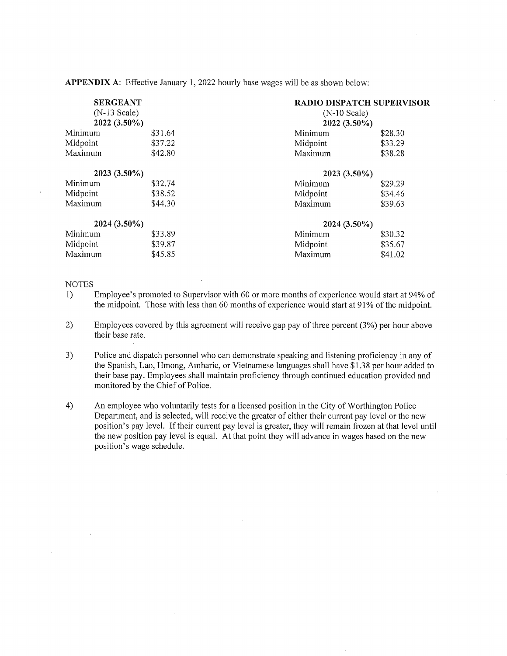**APPENDIX A:** Effective January 1, 2022 hourly base wages will be as shown below:

| <b>SERGEANT</b><br>$(N-13$ Scale)<br>2022 (3.50%) |         | <b>RADIO DISPATCH SUPERVISOR</b> |         |  |
|---------------------------------------------------|---------|----------------------------------|---------|--|
|                                                   |         | $(N-10$ Scale)<br>2022 (3.50%)   |         |  |
|                                                   |         |                                  |         |  |
| Midpoint                                          | \$37.22 | Midpoint                         | \$33.29 |  |
| Maximum                                           | \$42.80 | Maximum                          | \$38.28 |  |
| 2023 (3.50%)                                      |         | 2023 (3.50%)                     |         |  |
| Minimum                                           | \$32.74 | Minimum                          | \$29.29 |  |
| Midpoint                                          | \$38.52 | Midpoint                         | \$34.46 |  |
| Maximum                                           | \$44.30 | Maximum                          | \$39.63 |  |
| 2024 (3.50%)                                      |         | 2024 (3.50%)                     |         |  |
| Minimum                                           | \$33.89 | Minimum                          | \$30.32 |  |
| Midpoint                                          | \$39.87 | Midpoint                         | \$35.67 |  |
| Maximum                                           | \$45.85 | Maximum                          | \$41.02 |  |

#### **NOTES**

- 1) Employee's promoted to Supervisor with 60 or more months of experience would start at 94% of the midpoint. Those with less than 60 months of experience would start at 91 % of the midpoint.
- 2) Employees covered by this agreement will receive gap pay of three percent (3%) per hour above their base rate.
- 3) Police and dispatch personnel who can demonstrate speaking and listening proficiency in any of the Spanish, Lao, Hmong, Amharic, or Vietnamese languages shall have \$1.38 per hour added to their base pay. Employees shall maintain proficiency through continued education provided and monitored by the Chief of Police.
- 4) An employee who voluntarily tests for a licensed position in the City of Worthington Police Department, and is selected, will receive the greater of either their current pay level or the new position's pay level. If their current pay level is greater, they will remain frozen at that level until the new position pay level is equal. At that point they will advance in wages based on the new position's wage schedule.